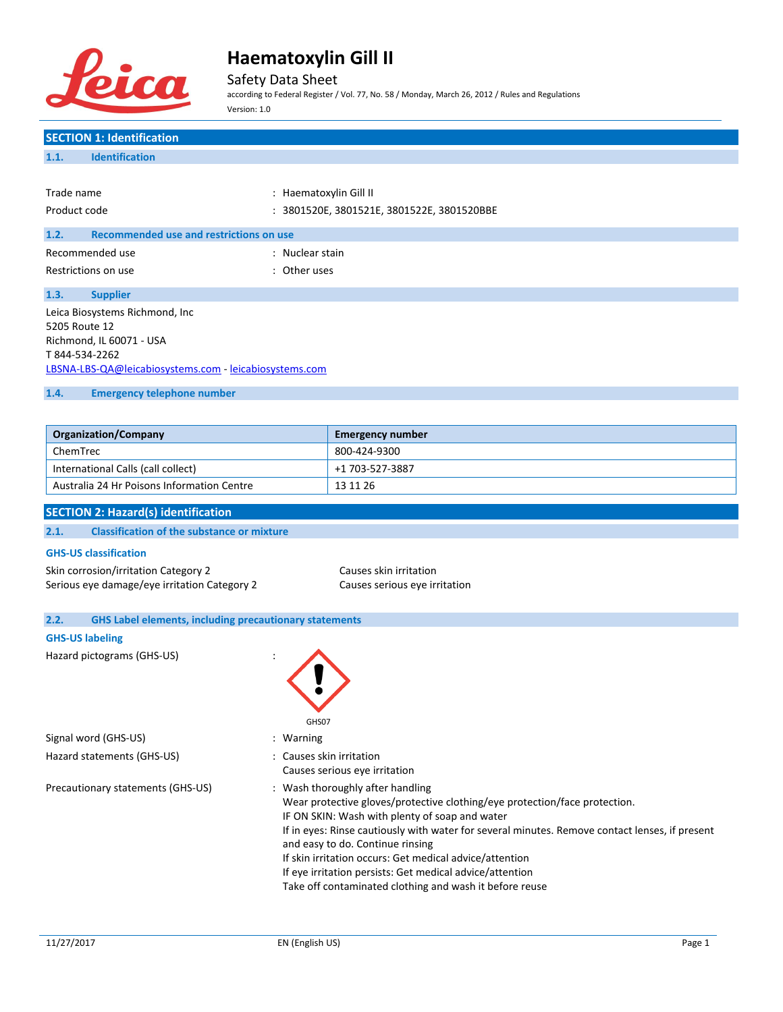

Safety Data Sheet

according to Federal Register / Vol. 77, No. 58 / Monday, March 26, 2012 / Rules and Regulations Version: 1.0

# **SECTION 1: Identification 1.1. Identification** Trade name  $\qquad \qquad :$  Haematoxylin Gill II Product code : 3801520E, 3801521E, 3801522E, 3801520BBE **1.2. Recommended use and restrictions on use** Recommended use in the set of the state of the Recommended use Restrictions on use the set of the set of the set of the set of the set of the set of the set of the set of the set of the set of the set of the set of the set of the set of the set of the set of the set of the set of the **1.3. Supplier** Leica Biosystems Richmond, Inc 5205 Route 12 Richmond, IL 60071 - USA T 844-534-2262 [LBSNA-LBS-QA@leicabiosystems.com](mailto:LBSNA-LBS-QA@leicabiosystems.com) - <leicabiosystems.com> **1.4. Emergency telephone number**

| <b>Organization/Company</b>                | <b>Emergency number</b> |
|--------------------------------------------|-------------------------|
| ChemTrec                                   | 800-424-9300            |
| International Calls (call collect)         | +1 703-527-3887         |
| Australia 24 Hr Poisons Information Centre | 13 11 26                |

### **SECTION 2: Hazard(s) identification**

| <b>Classification of the substance or mixture</b><br>2.1. |  |  |  |  |
|-----------------------------------------------------------|--|--|--|--|
|-----------------------------------------------------------|--|--|--|--|

#### **GHS-US classification**

Skin corrosion/irritation Category 2 Causes skin irritation Serious eye damage/eye irritation Category 2 Causes serious eye irritation

| 2.2. | <b>GHS Label elements, including precautionary statements</b> |                                                                                                                                                                                                                                                                                                                                                                                                                                                                                          |  |
|------|---------------------------------------------------------------|------------------------------------------------------------------------------------------------------------------------------------------------------------------------------------------------------------------------------------------------------------------------------------------------------------------------------------------------------------------------------------------------------------------------------------------------------------------------------------------|--|
|      | <b>GHS-US labeling</b>                                        |                                                                                                                                                                                                                                                                                                                                                                                                                                                                                          |  |
|      | Hazard pictograms (GHS-US)                                    | GHS07                                                                                                                                                                                                                                                                                                                                                                                                                                                                                    |  |
|      | Signal word (GHS-US)                                          | : Warning                                                                                                                                                                                                                                                                                                                                                                                                                                                                                |  |
|      | Hazard statements (GHS-US)                                    | : Causes skin irritation<br>Causes serious eye irritation                                                                                                                                                                                                                                                                                                                                                                                                                                |  |
|      | Precautionary statements (GHS-US)                             | : Wash thoroughly after handling<br>Wear protective gloves/protective clothing/eye protection/face protection.<br>IF ON SKIN: Wash with plenty of soap and water<br>If in eyes: Rinse cautiously with water for several minutes. Remove contact lenses, if present<br>and easy to do. Continue rinsing<br>If skin irritation occurs: Get medical advice/attention<br>If eye irritation persists: Get medical advice/attention<br>Take off contaminated clothing and wash it before reuse |  |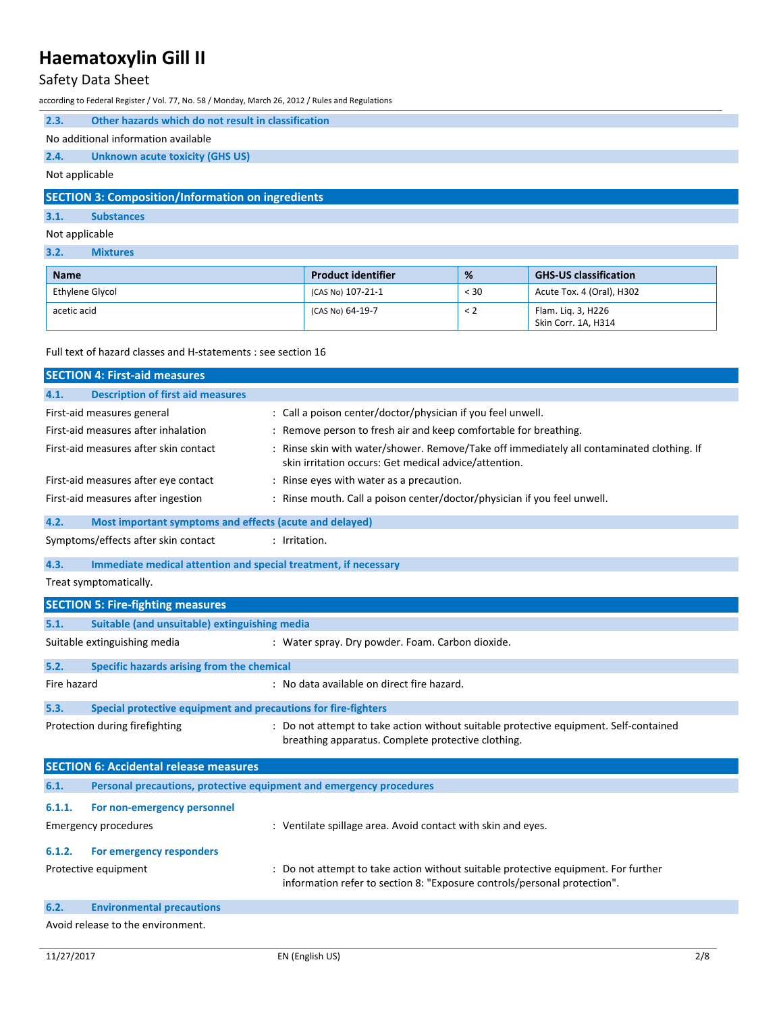## Safety Data Sheet

according to Federal Register / Vol. 77, No. 58 / Monday, March 26, 2012 / Rules and Regulations

| 2.3.                                                     | Other hazards which do not result in classification |  |
|----------------------------------------------------------|-----------------------------------------------------|--|
|                                                          | No additional information available                 |  |
| 2.4.                                                     | <b>Unknown acute toxicity (GHS US)</b>              |  |
| Not applicable                                           |                                                     |  |
| <b>SECTION 3: Composition/Information on ingredients</b> |                                                     |  |
| 3.1.                                                     | <b>Substances</b>                                   |  |

### Not applicable

### **3.2. Mixtures**

| <b>Name</b>     | <b>Product identifier</b> | %    | <b>GHS-US classification</b>              |
|-----------------|---------------------------|------|-------------------------------------------|
| Ethylene Glycol | ' (CAS No) 107-21-1       | < 30 | Acute Tox. 4 (Oral), H302                 |
| acetic acid     | (CAS No) 64-19-7          | < 2  | Flam. Lig. 3, H226<br>Skin Corr. 1A, H314 |

Full text of hazard classes and H-statements : see section 16

|             | <b>SECTION 4: First-aid measures</b>                                             |                                                                                                                                                                |  |
|-------------|----------------------------------------------------------------------------------|----------------------------------------------------------------------------------------------------------------------------------------------------------------|--|
| 4.1.        | <b>Description of first aid measures</b>                                         |                                                                                                                                                                |  |
|             | First-aid measures general                                                       | : Call a poison center/doctor/physician if you feel unwell.                                                                                                    |  |
|             | First-aid measures after inhalation                                              | : Remove person to fresh air and keep comfortable for breathing.                                                                                               |  |
|             | First-aid measures after skin contact                                            | : Rinse skin with water/shower. Remove/Take off immediately all contaminated clothing. If<br>skin irritation occurs: Get medical advice/attention.             |  |
|             | First-aid measures after eye contact                                             | : Rinse eyes with water as a precaution.                                                                                                                       |  |
|             | First-aid measures after ingestion                                               | : Rinse mouth. Call a poison center/doctor/physician if you feel unwell.                                                                                       |  |
| 4.2.        | Most important symptoms and effects (acute and delayed)                          |                                                                                                                                                                |  |
|             | Symptoms/effects after skin contact                                              | : Irritation.                                                                                                                                                  |  |
| 4.3.        | Immediate medical attention and special treatment, if necessary                  |                                                                                                                                                                |  |
|             | Treat symptomatically.                                                           |                                                                                                                                                                |  |
|             | <b>SECTION 5: Fire-fighting measures</b>                                         |                                                                                                                                                                |  |
| 5.1.        | Suitable (and unsuitable) extinguishing media                                    |                                                                                                                                                                |  |
|             | Suitable extinguishing media<br>: Water spray. Dry powder. Foam. Carbon dioxide. |                                                                                                                                                                |  |
| 5.2.        | Specific hazards arising from the chemical                                       |                                                                                                                                                                |  |
| Fire hazard |                                                                                  | : No data available on direct fire hazard.                                                                                                                     |  |
| 5.3.        | Special protective equipment and precautions for fire-fighters                   |                                                                                                                                                                |  |
|             | Protection during firefighting                                                   | : Do not attempt to take action without suitable protective equipment. Self-contained<br>breathing apparatus. Complete protective clothing.                    |  |
|             | <b>SECTION 6: Accidental release measures</b>                                    |                                                                                                                                                                |  |
| 6.1.        | Personal precautions, protective equipment and emergency procedures              |                                                                                                                                                                |  |
| 6.1.1.      | For non-emergency personnel                                                      |                                                                                                                                                                |  |
|             | <b>Emergency procedures</b>                                                      | : Ventilate spillage area. Avoid contact with skin and eyes.                                                                                                   |  |
| 6.1.2.      | For emergency responders                                                         |                                                                                                                                                                |  |
|             | Protective equipment                                                             | : Do not attempt to take action without suitable protective equipment. For further<br>information refer to section 8: "Exposure controls/personal protection". |  |
| 6.2.        | <b>Environmental precautions</b>                                                 |                                                                                                                                                                |  |
|             | Avoid release to the environment.                                                |                                                                                                                                                                |  |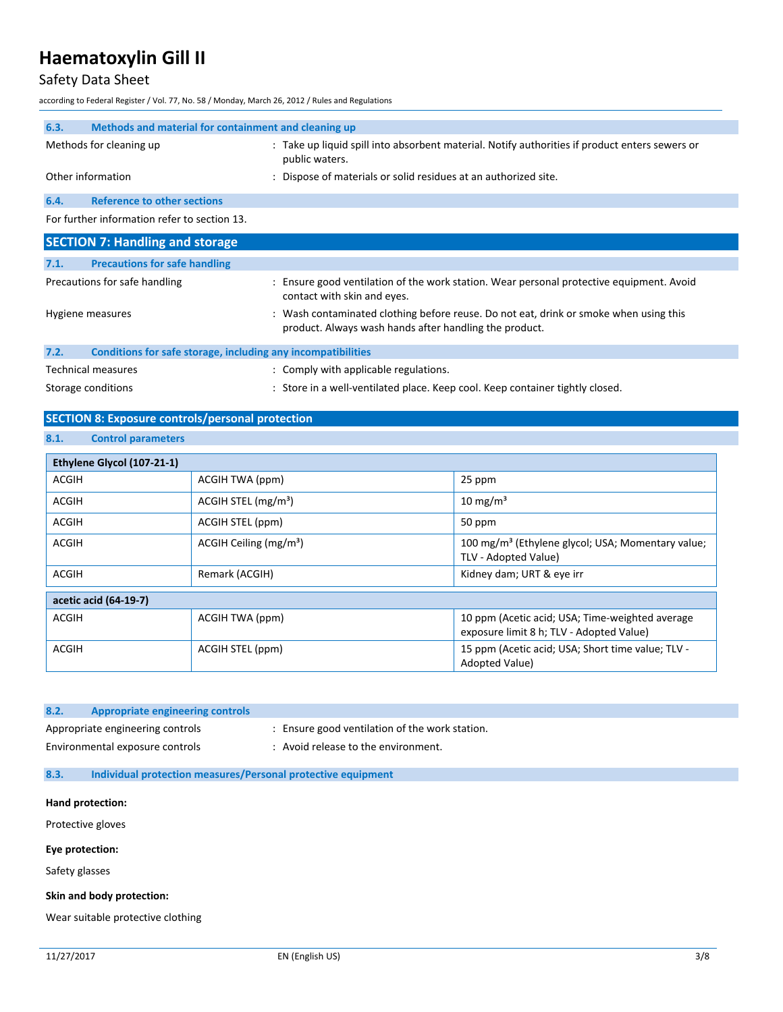## Safety Data Sheet

according to Federal Register / Vol. 77, No. 58 / Monday, March 26, 2012 / Rules and Regulations

| 6.3. | Methods and material for containment and cleaning up |                                                                                                                         |  |
|------|------------------------------------------------------|-------------------------------------------------------------------------------------------------------------------------|--|
|      | Methods for cleaning up                              | : Take up liquid spill into absorbent material. Notify authorities if product enters sewers or<br>public waters.        |  |
|      | Other information                                    | : Dispose of materials or solid residues at an authorized site.                                                         |  |
| 6.4. | <b>Reference to other sections</b>                   |                                                                                                                         |  |
|      | For further information refer to section 13.         |                                                                                                                         |  |
|      | <b>SECTION 7: Handling and storage</b>               |                                                                                                                         |  |
| 7.1. | <b>Precautions for safe handling</b>                 |                                                                                                                         |  |
|      | Precautions for safe handling                        | : Ensure good ventilation of the work station. Wear personal protective equipment. Avoid<br>contact with skin and eyes. |  |

|      | Hygiene measures                                             | : Wash contaminated clothing before reuse. Do not eat, drink or smoke when using this<br>product. Always wash hands after handling the product. |
|------|--------------------------------------------------------------|-------------------------------------------------------------------------------------------------------------------------------------------------|
| 7.2. | Conditions for safe storage, including any incompatibilities |                                                                                                                                                 |
|      | Technical measures                                           | : Comply with applicable regulations.                                                                                                           |
|      | Storage conditions                                           | : Store in a well-ventilated place. Keep cool. Keep container tightly closed.                                                                   |

## **SECTION 8: Exposure controls/personal protection**

### **8.1. Control parameters**

| Ethylene Glycol (107-21-1) |                                   |                                                                                             |
|----------------------------|-----------------------------------|---------------------------------------------------------------------------------------------|
| ACGIH                      | ACGIH TWA (ppm)                   | 25 ppm                                                                                      |
| <b>ACGIH</b>               | $ACGIH$ STEL (mg/m <sup>3</sup> ) | $10 \text{ mg/m}^3$                                                                         |
| <b>ACGIH</b>               | ACGIH STEL (ppm)                  | 50 ppm                                                                                      |
| ACGIH                      | ACGIH Ceiling $(mg/m3)$           | 100 mg/m <sup>3</sup> (Ethylene glycol; USA; Momentary value;<br>TLV - Adopted Value)       |
| <b>ACGIH</b>               | Remark (ACGIH)                    | Kidney dam; URT & eye irr                                                                   |
| acetic acid (64-19-7)      |                                   |                                                                                             |
| <b>ACGIH</b>               | ACGIH TWA (ppm)                   | 10 ppm (Acetic acid; USA; Time-weighted average<br>exposure limit 8 h; TLV - Adopted Value) |
| <b>ACGIH</b>               | ACGIH STEL (ppm)                  | 15 ppm (Acetic acid; USA; Short time value; TLV -<br>Adopted Value)                         |

| 8.2. | Appropriate engineering controls |                                                |
|------|----------------------------------|------------------------------------------------|
|      | Appropriate engineering controls | : Ensure good ventilation of the work station. |
|      | Environmental exposure controls  | Avoid release to the environment.              |

#### **8.3. Individual protection measures/Personal protective equipment**

#### **Hand protection:**

Protective gloves

#### **Eye protection:**

Safety glasses

#### **Skin and body protection:**

Wear suitable protective clothing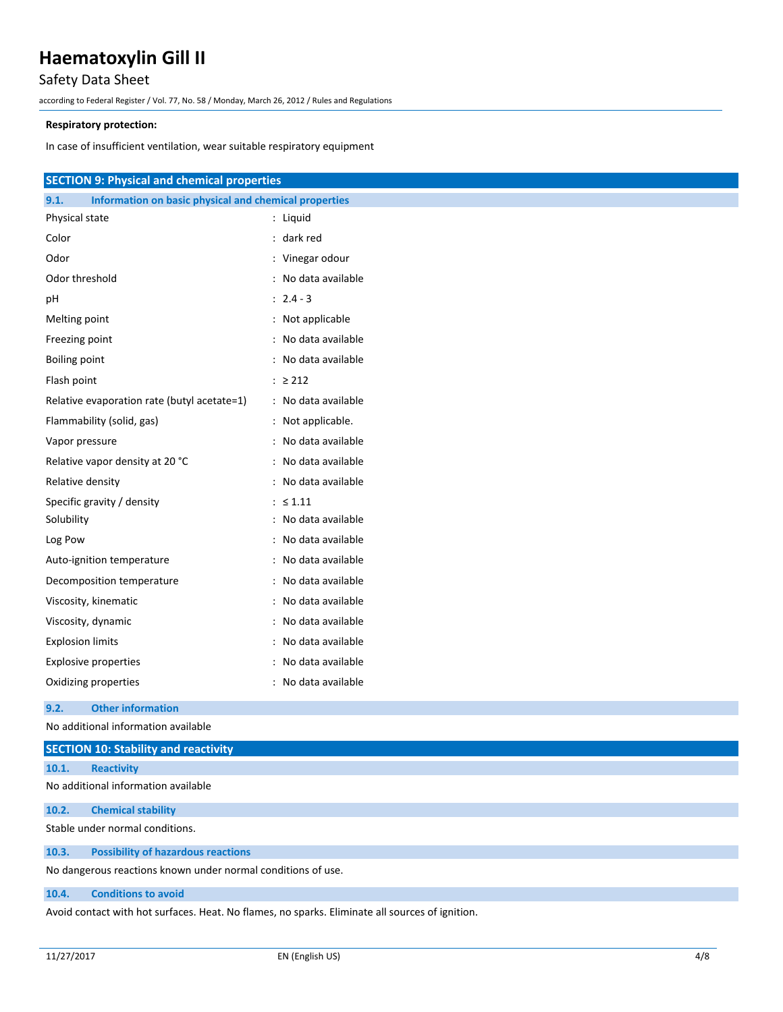## Safety Data Sheet

according to Federal Register / Vol. 77, No. 58 / Monday, March 26, 2012 / Rules and Regulations

#### **Respiratory protection:**

In case of insufficient ventilation, wear suitable respiratory equipment

| <b>SECTION 9: Physical and chemical properties</b>            |                     |
|---------------------------------------------------------------|---------------------|
| 9.1.<br>Information on basic physical and chemical properties |                     |
| Physical state                                                | : Liquid            |
| Color                                                         | : dark red          |
| Odor                                                          | : Vinegar odour     |
| Odor threshold                                                | : No data available |
| рH                                                            | $: 2.4 - 3$         |
| Melting point                                                 | : Not applicable    |
| Freezing point                                                | : No data available |
| Boiling point                                                 | No data available   |
| Flash point                                                   | $: \ge 212$         |
| Relative evaporation rate (butyl acetate=1)                   | : No data available |
| Flammability (solid, gas)                                     | : Not applicable.   |
| Vapor pressure                                                | : No data available |
| Relative vapor density at 20 °C                               | : No data available |
| Relative density                                              | : No data available |
| Specific gravity / density                                    | $: \leq 1.11$       |
| Solubility                                                    | : No data available |
| Log Pow                                                       | : No data available |
| Auto-ignition temperature                                     | : No data available |
| Decomposition temperature                                     | : No data available |
| Viscosity, kinematic                                          | : No data available |
| Viscosity, dynamic                                            | No data available   |
| <b>Explosion limits</b>                                       | : No data available |
| <b>Explosive properties</b>                                   | No data available   |
| Oxidizing properties                                          | : No data available |

#### **9.2. Other information**

No additional information available

|                                                              | <b>SECTION 10: Stability and reactivity</b> |  |
|--------------------------------------------------------------|---------------------------------------------|--|
| 10.1.                                                        | <b>Reactivity</b>                           |  |
|                                                              | No additional information available         |  |
| 10.2.                                                        | <b>Chemical stability</b>                   |  |
| Stable under normal conditions.                              |                                             |  |
| 10.3.                                                        | <b>Possibility of hazardous reactions</b>   |  |
| No dangerous reactions known under normal conditions of use. |                                             |  |

#### **10.4. Conditions to avoid**

Avoid contact with hot surfaces. Heat. No flames, no sparks. Eliminate all sources of ignition.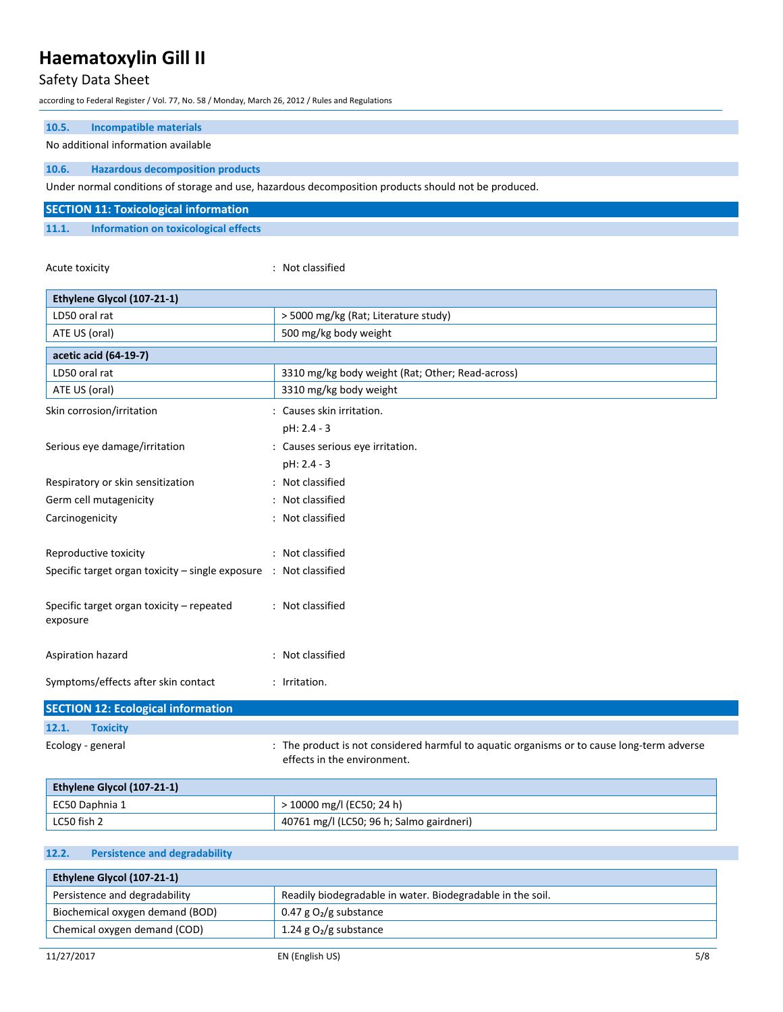## Safety Data Sheet

according to Federal Register / Vol. 77, No. 58 / Monday, March 26, 2012 / Rules and Regulations

| <b>Incompatible materials</b><br>10.5.<br>No additional information available  |                                                                                                                           |
|--------------------------------------------------------------------------------|---------------------------------------------------------------------------------------------------------------------------|
| 10.6.<br><b>Hazardous decomposition products</b>                               |                                                                                                                           |
|                                                                                | Under normal conditions of storage and use, hazardous decomposition products should not be produced.                      |
| <b>SECTION 11: Toxicological information</b>                                   |                                                                                                                           |
| 11.1.<br>Information on toxicological effects                                  |                                                                                                                           |
| Acute toxicity                                                                 | : Not classified                                                                                                          |
| Ethylene Glycol (107-21-1)                                                     |                                                                                                                           |
| LD50 oral rat                                                                  | > 5000 mg/kg (Rat; Literature study)                                                                                      |
| ATE US (oral)                                                                  | 500 mg/kg body weight                                                                                                     |
| acetic acid (64-19-7)                                                          |                                                                                                                           |
| LD50 oral rat                                                                  | 3310 mg/kg body weight (Rat; Other; Read-across)                                                                          |
| ATE US (oral)                                                                  | 3310 mg/kg body weight                                                                                                    |
| Skin corrosion/irritation                                                      | : Causes skin irritation.                                                                                                 |
|                                                                                | pH: 2.4 - 3                                                                                                               |
| Serious eye damage/irritation                                                  | : Causes serious eye irritation.                                                                                          |
|                                                                                | pH: 2.4 - 3                                                                                                               |
| Respiratory or skin sensitization                                              | : Not classified                                                                                                          |
| Germ cell mutagenicity                                                         | : Not classified                                                                                                          |
| Carcinogenicity                                                                | : Not classified                                                                                                          |
| Reproductive toxicity                                                          | : Not classified                                                                                                          |
| Specific target organ toxicity $-$ single exposure $\therefore$ Not classified |                                                                                                                           |
| Specific target organ toxicity – repeated<br>exposure                          | : Not classified                                                                                                          |
| Aspiration hazard                                                              | : Not classified                                                                                                          |
| Symptoms/effects after skin contact                                            | : Irritation.                                                                                                             |
| <b>SECTION 12: Ecological information</b>                                      |                                                                                                                           |
| 12.1.<br><b>Toxicity</b>                                                       |                                                                                                                           |
| Ecology - general                                                              | : The product is not considered harmful to aquatic organisms or to cause long-term adverse<br>effects in the environment. |

| Ethylene Glycol (107-21-1) |                                          |  |
|----------------------------|------------------------------------------|--|
| EC50 Daphnia 1             | > 10000 mg/l (EC50; 24 h)                |  |
| LC50 fish 2                | 40761 mg/l (LC50; 96 h; Salmo gairdneri) |  |

## **12.2. Persistence and degradability**

| Ethylene Glycol (107-21-1)      |                                                            |  |
|---------------------------------|------------------------------------------------------------|--|
| Persistence and degradability   | Readily biodegradable in water. Biodegradable in the soil. |  |
| Biochemical oxygen demand (BOD) | 0.47 g $O_2$ /g substance                                  |  |
| Chemical oxygen demand (COD)    | 1.24 g $O_2$ /g substance                                  |  |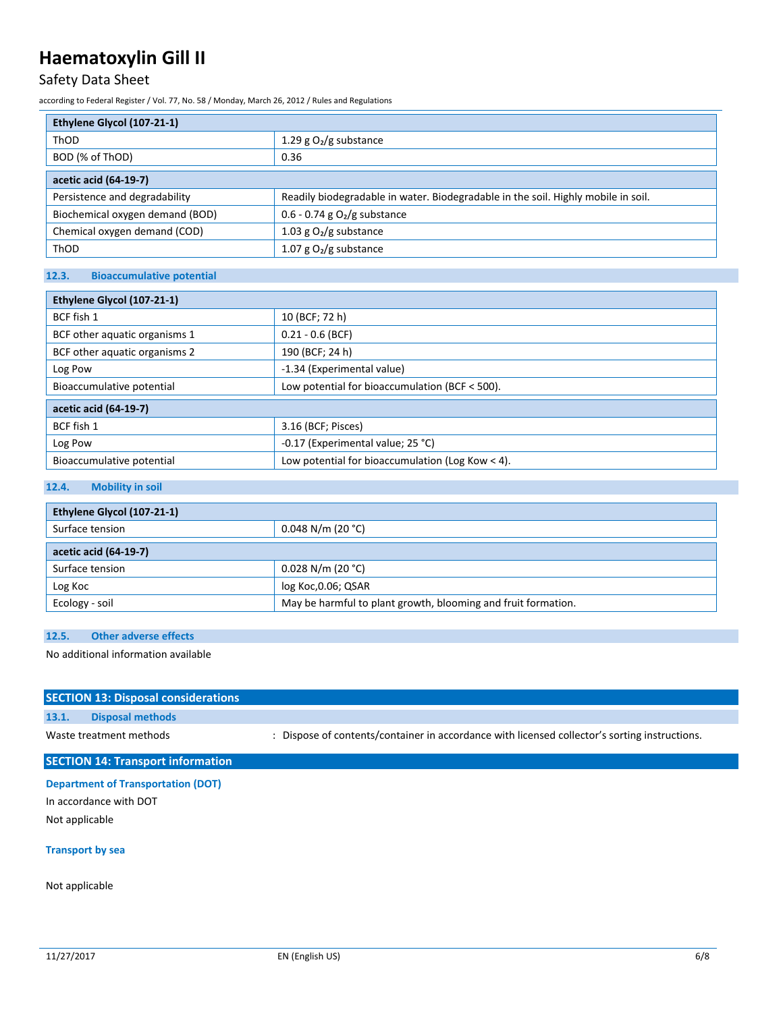## Safety Data Sheet

according to Federal Register / Vol. 77, No. 58 / Monday, March 26, 2012 / Rules and Regulations

| Ethylene Glycol (107-21-1)      |                                                                                   |  |
|---------------------------------|-----------------------------------------------------------------------------------|--|
| ThOD                            | 1.29 g $O_2/g$ substance                                                          |  |
| BOD (% of ThOD)                 | 0.36                                                                              |  |
| acetic acid (64-19-7)           |                                                                                   |  |
| Persistence and degradability   | Readily biodegradable in water. Biodegradable in the soil. Highly mobile in soil. |  |
| Biochemical oxygen demand (BOD) | 0.6 - 0.74 g $O2/g$ substance                                                     |  |
| Chemical oxygen demand (COD)    | 1.03 g $O_2/g$ substance                                                          |  |
| ThOD                            | 1.07 g $O_2/g$ substance                                                          |  |

## **12.3. Bioaccumulative potential**

| Ethylene Glycol (107-21-1)    |                                                  |  |
|-------------------------------|--------------------------------------------------|--|
| BCF fish 1                    | 10 (BCF; 72 h)                                   |  |
| BCF other aquatic organisms 1 | $0.21 - 0.6$ (BCF)                               |  |
| BCF other aquatic organisms 2 | 190 (BCF; 24 h)                                  |  |
| Log Pow                       | -1.34 (Experimental value)                       |  |
| Bioaccumulative potential     | Low potential for bioaccumulation (BCF < 500).   |  |
| acetic acid (64-19-7)         |                                                  |  |
| BCF fish 1                    | 3.16 (BCF; Pisces)                               |  |
| Log Pow                       | -0.17 (Experimental value; 25 °C)                |  |
| Bioaccumulative potential     | Low potential for bioaccumulation (Log Kow < 4). |  |

## **12.4. Mobility in soil**

| Ethylene Glycol (107-21-1) |                                                               |  |
|----------------------------|---------------------------------------------------------------|--|
| Surface tension            | $0.048$ N/m (20 °C)                                           |  |
| acetic acid (64-19-7)      |                                                               |  |
| Surface tension            | $0.028$ N/m (20 °C)                                           |  |
| Log Koc                    | log Koc, 0.06; QSAR                                           |  |
| Ecology - soil             | May be harmful to plant growth, blooming and fruit formation. |  |

## **12.5. Other adverse effects**

No additional information available

|       | <b>SECTION 13: Disposal considerations</b> |                                                                                               |
|-------|--------------------------------------------|-----------------------------------------------------------------------------------------------|
| 13.1. | <b>Disposal methods</b>                    |                                                                                               |
|       | Waste treatment methods                    | : Dispose of contents/container in accordance with licensed collector's sorting instructions. |
|       | <b>SECTION 14: Transport information</b>   |                                                                                               |

## **Department of Transportation (DOT)**

In accordance with DOT Not applicable

### **Transport by sea**

Not applicable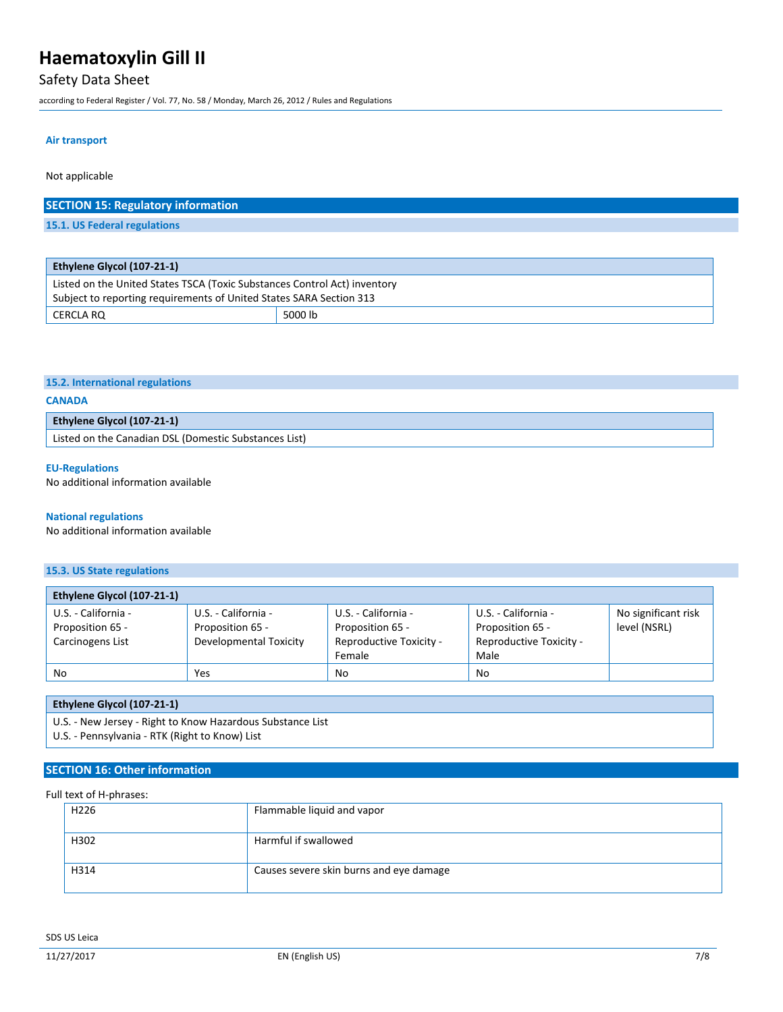## Safety Data Sheet

according to Federal Register / Vol. 77, No. 58 / Monday, March 26, 2012 / Rules and Regulations

CERCLA RQ 5000 lb

#### **Air transport**

Not applicable

| <b>SECTION 15: Regulatory information</b>                                 |  |
|---------------------------------------------------------------------------|--|
| 15.1. US Federal regulations                                              |  |
|                                                                           |  |
|                                                                           |  |
| Ethylene Glycol (107-21-1)                                                |  |
| Listed on the United States TSCA (Toxic Substances Control Act) inventory |  |
| Subject to reporting requirements of United States SARA Section 313       |  |

|  | 15.2. International regulations |  |
|--|---------------------------------|--|
|--|---------------------------------|--|

#### **CANADA**

| <b>Ethylene Glycol (107-21-1)</b>                      |  |
|--------------------------------------------------------|--|
| 'Listed on the Canadian DSL (Domestic Substances List) |  |

#### **EU-Regulations**

No additional information available

#### **National regulations**

No additional information available

## **15.3. US State regulations**

| Ethylene Glycol (107-21-1) |                        |                         |                         |                     |
|----------------------------|------------------------|-------------------------|-------------------------|---------------------|
| U.S. - California -        | U.S. - California -    | U.S. - California -     | U.S. - California -     | No significant risk |
| Proposition 65 -           | Proposition 65 -       | Proposition 65 -        | Proposition 65 -        | level (NSRL)        |
| Carcinogens List           | Developmental Toxicity | Reproductive Toxicity - | Reproductive Toxicity - |                     |
|                            |                        | Female                  | Male                    |                     |
| No                         | Yes                    | <b>No</b>               | <b>No</b>               |                     |

### **Ethylene Glycol (107-21-1)**

U.S. - New Jersey - Right to Know Hazardous Substance List

U.S. - Pennsylvania - RTK (Right to Know) List

### **SECTION 16: Other information**

### Full text of H-phrases:

| H <sub>226</sub> | Flammable liquid and vapor              |
|------------------|-----------------------------------------|
| H302             | Harmful if swallowed                    |
| H314             | Causes severe skin burns and eye damage |